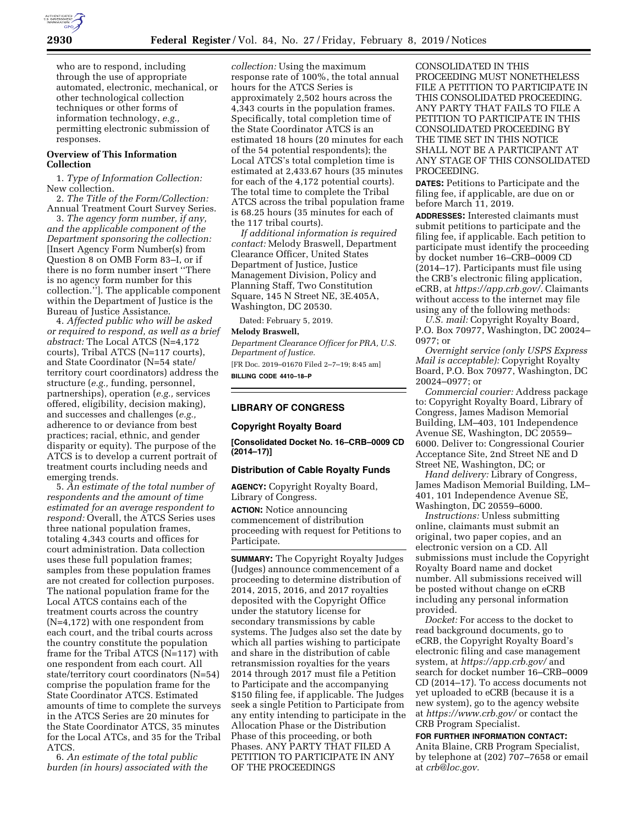

who are to respond, including through the use of appropriate automated, electronic, mechanical, or other technological collection techniques or other forms of information technology, *e.g.,*  permitting electronic submission of responses.

# **Overview of This Information Collection**

1. *Type of Information Collection:*  New collection.

2. *The Title of the Form/Collection:*  Annual Treatment Court Survey Series.

3. *The agency form number, if any, and the applicable component of the Department sponsoring the collection:*  [Insert Agency Form Number(s) from Question 8 on OMB Form 83–I, or if there is no form number insert ''There is no agency form number for this collection.'']. The applicable component within the Department of Justice is the Bureau of Justice Assistance.

4. *Affected public who will be asked or required to respond, as well as a brief abstract:* The Local ATCS (N=4,172 courts), Tribal ATCS (N=117 courts), and State Coordinator (N=54 state/ territory court coordinators) address the structure (*e.g.,* funding, personnel, partnerships), operation (*e.g.,* services offered, eligibility, decision making), and successes and challenges (*e.g.,*  adherence to or deviance from best practices; racial, ethnic, and gender disparity or equity). The purpose of the ATCS is to develop a current portrait of treatment courts including needs and emerging trends.

5. *An estimate of the total number of respondents and the amount of time estimated for an average respondent to respond:* Overall, the ATCS Series uses three national population frames, totaling 4,343 courts and offices for court administration. Data collection uses these full population frames; samples from these population frames are not created for collection purposes. The national population frame for the Local ATCS contains each of the treatment courts across the country (N=4,172) with one respondent from each court, and the tribal courts across the country constitute the population frame for the Tribal ATCS (N=117) with one respondent from each court. All state/territory court coordinators (N=54) comprise the population frame for the State Coordinator ATCS. Estimated amounts of time to complete the surveys in the ATCS Series are 20 minutes for the State Coordinator ATCS, 35 minutes for the Local ATCs, and 35 for the Tribal ATCS.

6. *An estimate of the total public burden (in hours) associated with the* 

*collection:* Using the maximum response rate of 100%, the total annual hours for the ATCS Series is approximately 2,502 hours across the 4,343 courts in the population frames. Specifically, total completion time of the State Coordinator ATCS is an estimated 18 hours (20 minutes for each of the 54 potential respondents); the Local ATCS's total completion time is estimated at 2,433.67 hours (35 minutes for each of the 4,172 potential courts). The total time to complete the Tribal ATCS across the tribal population frame is 68.25 hours (35 minutes for each of the 117 tribal courts).

*If additional information is required contact:* Melody Braswell, Department Clearance Officer, United States Department of Justice, Justice Management Division, Policy and Planning Staff, Two Constitution Square, 145 N Street NE, 3E.405A, Washington, DC 20530.

Dated: February 5, 2019.

### **Melody Braswell,**

*Department Clearance Officer for PRA, U.S. Department of Justice.*  [FR Doc. 2019–01670 Filed 2–7–19; 8:45 am]

**BILLING CODE 4410–18–P** 

## **LIBRARY OF CONGRESS**

#### **Copyright Royalty Board**

**[Consolidated Docket No. 16–CRB–0009 CD (2014–17)]** 

#### **Distribution of Cable Royalty Funds**

**AGENCY:** Copyright Royalty Board, Library of Congress.

**ACTION:** Notice announcing commencement of distribution proceeding with request for Petitions to Participate.

**SUMMARY:** The Copyright Royalty Judges (Judges) announce commencement of a proceeding to determine distribution of 2014, 2015, 2016, and 2017 royalties deposited with the Copyright Office under the statutory license for secondary transmissions by cable systems. The Judges also set the date by which all parties wishing to participate and share in the distribution of cable retransmission royalties for the years 2014 through 2017 must file a Petition to Participate and the accompanying \$150 filing fee, if applicable. The Judges seek a single Petition to Participate from any entity intending to participate in the Allocation Phase or the Distribution Phase of this proceeding, or both Phases. ANY PARTY THAT FILED A PETITION TO PARTICIPATE IN ANY OF THE PROCEEDINGS

CONSOLIDATED IN THIS PROCEEDING MUST NONETHELESS FILE A PETITION TO PARTICIPATE IN THIS CONSOLIDATED PROCEEDING. ANY PARTY THAT FAILS TO FILE A PETITION TO PARTICIPATE IN THIS CONSOLIDATED PROCEEDING BY THE TIME SET IN THIS NOTICE SHALL NOT BE A PARTICIPANT AT ANY STAGE OF THIS CONSOLIDATED PROCEEDING.

**DATES:** Petitions to Participate and the filing fee, if applicable, are due on or before March 11, 2019.

**ADDRESSES:** Interested claimants must submit petitions to participate and the filing fee, if applicable. Each petition to participate must identify the proceeding by docket number 16–CRB–0009 CD (2014–17). Participants must file using the CRB's electronic filing application, eCRB, at *[https://app.crb.gov/.](https://app.crb.gov/)* Claimants without access to the internet may file using any of the following methods:

U.S. mail: Copyright Royalty Board, P.O. Box 70977, Washington, DC 20024– 0977; or

*Overnight service (only USPS Express Mail is acceptable):* Copyright Royalty Board, P.O. Box 70977, Washington, DC 20024–0977; or

*Commercial courier:* Address package to: Copyright Royalty Board, Library of Congress, James Madison Memorial Building, LM–403, 101 Independence Avenue SE, Washington, DC 20559– 6000. Deliver to: Congressional Courier Acceptance Site, 2nd Street NE and D Street NE, Washington, DC; or

*Hand delivery:* Library of Congress, James Madison Memorial Building, LM– 401, 101 Independence Avenue SE, Washington, DC 20559–6000.

*Instructions:* Unless submitting online, claimants must submit an original, two paper copies, and an electronic version on a CD. All submissions must include the Copyright Royalty Board name and docket number. All submissions received will be posted without change on eCRB including any personal information provided.

*Docket:* For access to the docket to read background documents, go to eCRB, the Copyright Royalty Board's electronic filing and case management system, at *<https://app.crb.gov/>*and search for docket number 16–CRB–0009 CD (2014–17). To access documents not yet uploaded to eCRB (because it is a new system), go to the agency website at *<https://www.crb.gov/>*or contact the CRB Program Specialist.

**FOR FURTHER INFORMATION CONTACT:**  Anita Blaine, CRB Program Specialist, by telephone at (202) 707–7658 or email at *[crb@loc.gov.](mailto:crb@loc.gov)*